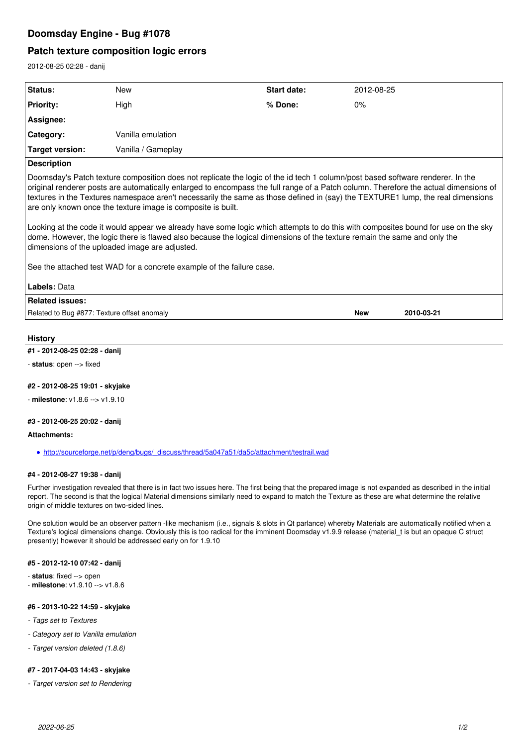# **Doomsday Engine - Bug #1078**

# **Patch texture composition logic errors**

2012-08-25 02:28 - danij

| Status:                | <b>New</b>         | <b>Start date:</b> | 2012-08-25 |
|------------------------|--------------------|--------------------|------------|
| <b>Priority:</b>       | High               | ∣% Done:           | $0\%$      |
| Assignee:              |                    |                    |            |
| Category:              | Vanilla emulation  |                    |            |
| <b>Target version:</b> | Vanilla / Gameplay |                    |            |
| <b>Description</b>     |                    |                    |            |
|                        |                    |                    |            |

Doomsday's Patch texture composition does not replicate the logic of the id tech 1 column/post based software renderer. In the original renderer posts are automatically enlarged to encompass the full range of a Patch column. Therefore the actual dimensions of textures in the Textures namespace aren't necessarily the same as those defined in (say) the TEXTURE1 lump, the real dimensions are only known once the texture image is composite is built.

Looking at the code it would appear we already have some logic which attempts to do this with composites bound for use on the sky dome. However, the logic there is flawed also because the logical dimensions of the texture remain the same and only the dimensions of the uploaded image are adjusted.

See the attached test WAD for a concrete example of the failure case.

| Labels: Data                                |     |            |
|---------------------------------------------|-----|------------|
| Related issues:                             |     |            |
| Related to Bug #877: Texture offset anomaly | New | 2010-03-21 |

### **History**

### **#1 - 2012-08-25 02:28 - danij**

- **status**: open --> fixed

### **#2 - 2012-08-25 19:01 - skyjake**

- **milestone**: v1.8.6 --> v1.9.10

## **#3 - 2012-08-25 20:02 - danij**

#### **Attachments:**

[http://sourceforge.net/p/deng/bugs/\\_discuss/thread/5a047a51/da5c/attachment/testrail.wad](http://sourceforge.net/p/deng/bugs/_discuss/thread/5a047a51/da5c/attachment/testrail.wad)

### **#4 - 2012-08-27 19:38 - danij**

Further investigation revealed that there is in fact two issues here. The first being that the prepared image is not expanded as described in the initial report. The second is that the logical Material dimensions similarly need to expand to match the Texture as these are what determine the relative origin of middle textures on two-sided lines.

One solution would be an observer pattern -like mechanism (i.e., signals & slots in Qt parlance) whereby Materials are automatically notified when a Texture's logical dimensions change. Obviously this is too radical for the imminent Doomsday v1.9.9 release (material t is but an opaque C struct presently) however it should be addressed early on for 1.9.10

## **#5 - 2012-12-10 07:42 - danij**

- **status**: fixed --> open
- **milestone**: v1.9.10 --> v1.8.6

### **#6 - 2013-10-22 14:59 - skyjake**

- *Tags set to Textures*
- *Category set to Vanilla emulation*
- *Target version deleted (1.8.6)*

### **#7 - 2017-04-03 14:43 - skyjake**

*- Target version set to Rendering*